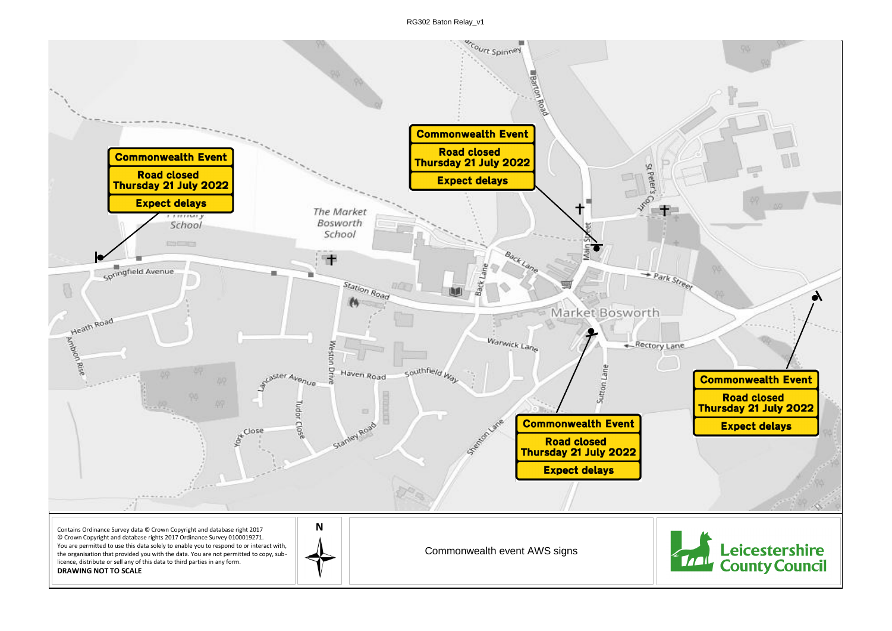RG302 Baton Relay\_v1

Commonwealth event AWS signs



Contains Ordinance Survey data © Crown Copyright and database right 2017 © Crown Copyright and database rights 2017 Ordinance Survey 0100019271. You are permitted to use this data solely to enable you to respond to or interact with, the organisation that provided you with the data. You are not permitted to copy, sublicence, distribute or sell any of this data to third parties in any form. **DRAWING NOT TO SCALE**

 $\overline{\mathbb{Q}}$ 

court Spinney **Barcon Commonwealth Event Road closed Commonwealth Event** Thursday 21 July 2022 St Peter's **Road closed Expect delays** Thursday 21 July 2022 **Expect delays** The Market -muury Bosworth School School **ENGINEER** 軍 Springfield Avenue Station Road **BOO** Heath Road Market Bosworth Warwick Lane - Rectory Lane Weston southfield W Driv Haven Road Sutton Lane pster Avenue Tudor toniane **Commonwealth Event**  $\tilde{\xi}^{\text{close}}$ C<sub>I</sub>o Ro<sub>3</sub> Stanley **Road closed** Thursday 21 July 2022 **Expect delays** 

**N**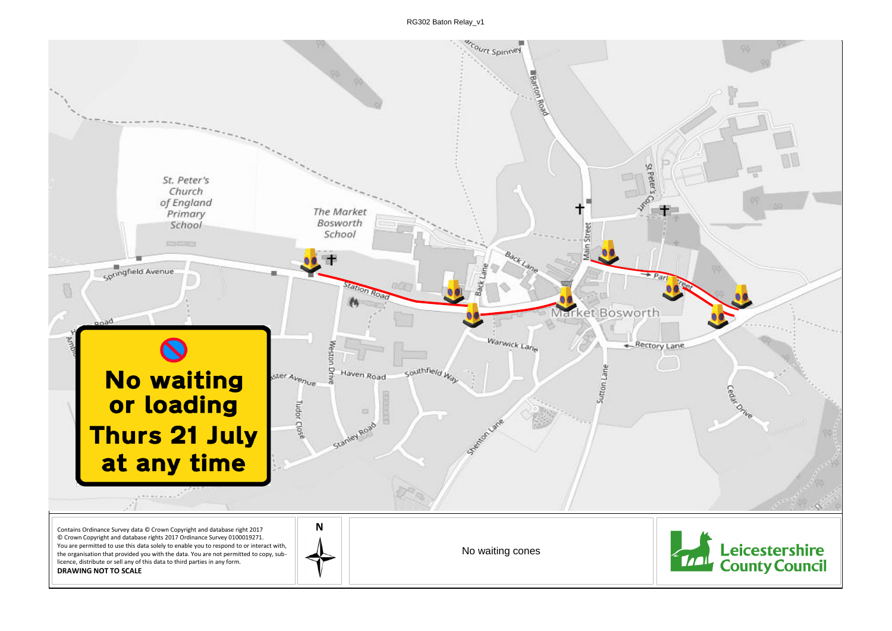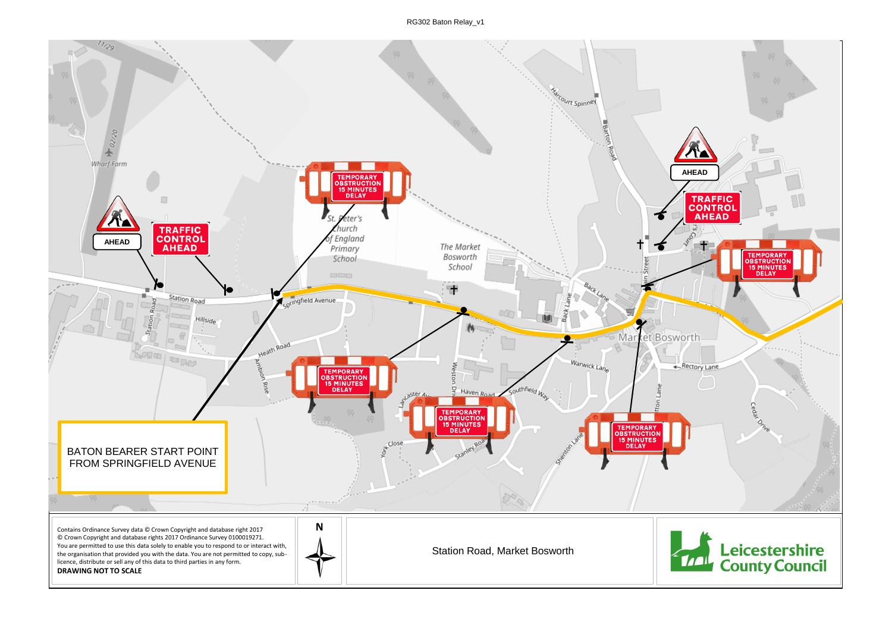RG302 Baton Relay\_v1